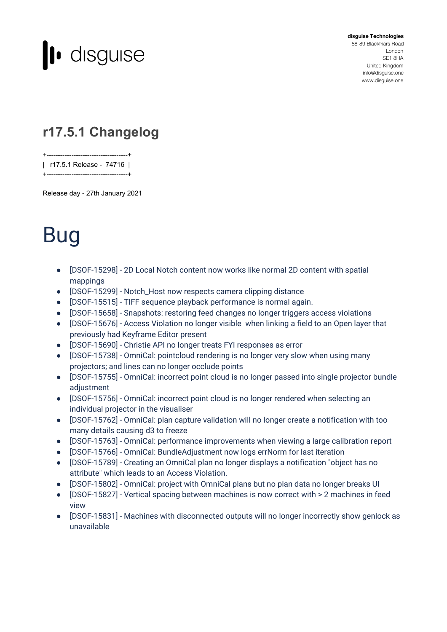

**disguise Technologies** 88-89 Blackfriars Road London SE1 8HA United Kingdom [info@disguise.one](mailto:info@disguise.one?subject=) www.disguise.one

## **r17.5.1 Changelog**

+------------------------------------+ | r17.5.1 Release - 74716 |

Release day - 27th January 2021

+------------------------------------+

## Bug

- [DSOF-15298] 2D Local Notch content now works like normal 2D content with spatial mappings
- [DSOF-15299] Notch\_Host now respects camera clipping distance
- [DSOF-15515] TIFF sequence playback performance is normal again.
- [DSOF-15658] Snapshots: restoring feed changes no longer triggers access violations
- [DSOF-15676] Access Violation no longer visible when linking a field to an Open layer that previously had Keyframe Editor present
- [DSOF-15690] Christie API no longer treats FYI responses as error
- [DSOF-15738] OmniCal: pointcloud rendering is no longer very slow when using many projectors; and lines can no longer occlude points
- [DSOF-15755] OmniCal: incorrect point cloud is no longer passed into single projector bundle adjustment
- [DSOF-15756] OmniCal: incorrect point cloud is no longer rendered when selecting an individual projector in the visualiser
- [DSOF-15762] OmniCal: plan capture validation will no longer create a notification with too many details causing d3 to freeze
- [DSOF-15763] OmniCal: performance improvements when viewing a large calibration report
- [DSOF-15766] OmniCal: BundleAdjustment now logs errNorm for last iteration
- [DSOF-15789] Creating an OmniCal plan no longer displays a notification "object has no attribute" which leads to an Access Violation.
- [DSOF-15802] OmniCal: project with OmniCal plans but no plan data no longer breaks UI
- [DSOF-15827] Vertical spacing between machines is now correct with > 2 machines in feed view
- [DSOF-15831] Machines with disconnected outputs will no longer incorrectly show genlock as unavailable